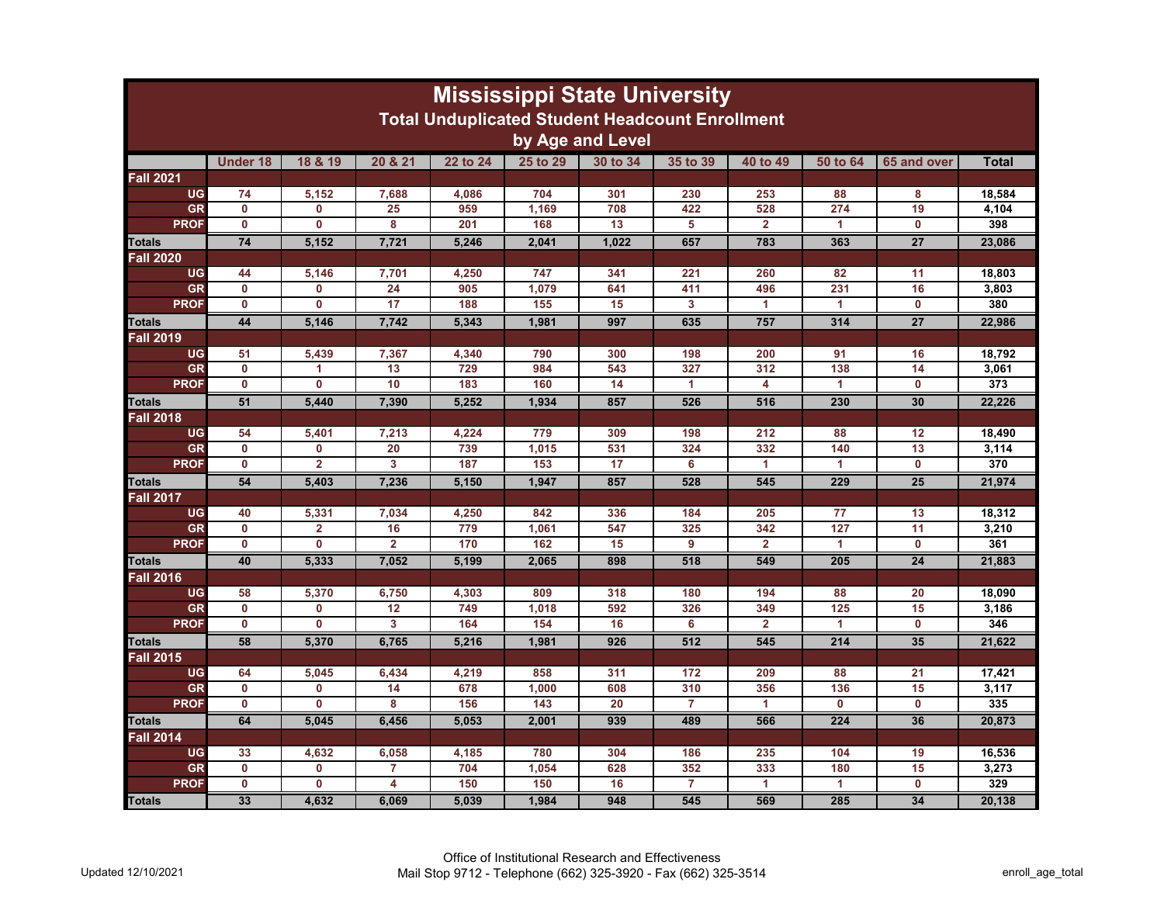| <b>Mississippi State University</b><br><b>Total Unduplicated Student Headcount Enrollment</b> |                         |                         |                |          |          |          |                |                      |                      |                         |              |
|-----------------------------------------------------------------------------------------------|-------------------------|-------------------------|----------------|----------|----------|----------|----------------|----------------------|----------------------|-------------------------|--------------|
| by Age and Level                                                                              |                         |                         |                |          |          |          |                |                      |                      |                         |              |
|                                                                                               | <b>Under 18</b>         | 18 & 19                 | 20 & 21        | 22 to 24 | 25 to 29 | 30 to 34 | 35 to 39       | 40 to 49             | 50 to 64             | 65 and over             | <b>Total</b> |
| <b>Fall 2021</b>                                                                              |                         |                         |                |          |          |          |                |                      |                      |                         |              |
| <b>UG</b>                                                                                     | 74                      | 5,152                   | 7,688          | 4,086    | 704      | 301      | 230            | 253                  | 88                   | 8                       | 18,584       |
| GR                                                                                            | $\mathbf{0}$            | 0                       | 25             | 959      | 1,169    | 708      | 422            | 528                  | 274                  | 19                      | 4,104        |
| <b>PROF</b>                                                                                   | $\overline{\mathbf{0}}$ | $\overline{\mathbf{0}}$ | 8              | 201      | 168      | 13       | 5              | $\overline{2}$       | 1                    | $\mathbf{0}$            | 398          |
| <b>Totals</b>                                                                                 | 74                      | 5.152                   | 7.721          | 5.246    | 2.041    | 1.022    | 657            | 783                  | 363                  | $\overline{27}$         | 23.086       |
| <b>Fall 2020</b>                                                                              |                         |                         |                |          |          |          |                |                      |                      |                         |              |
| <b>UG</b>                                                                                     | 44                      | 5,146                   | 7,701          | 4,250    | 747      | 341      | 221            | 260                  | 82                   | 11                      | 18,803       |
| <b>GR</b>                                                                                     | $\mathbf 0$             | $\mathbf{0}$            | 24             | 905      | 1,079    | 641      | 411            | 496                  | 231                  | 16                      | 3,803        |
| <b>PROF</b>                                                                                   | 0                       | 0                       | 17             | 188      | 155      | 15       | 3              | $\blacktriangleleft$ | $\blacktriangleleft$ | 0                       | 380          |
| <b>Totals</b>                                                                                 | 44                      | 5,146                   | 7.742          | 5,343    | 1,981    | 997      | 635            | 757                  | 314                  | $\overline{27}$         | 22,986       |
| <b>Fall 2019</b>                                                                              |                         |                         |                |          |          |          |                |                      |                      |                         |              |
| <b>UG</b>                                                                                     | 51                      | 5,439                   | 7,367          | 4,340    | 790      | 300      | 198            | 200                  | 91                   | 16                      | 18,792       |
| GR                                                                                            | $\mathbf{0}$            | 1                       | 13             | 729      | 984      | 543      | 327            | 312                  | 138                  | 14                      | 3,061        |
| <b>PROF</b>                                                                                   | $\overline{\mathbf{0}}$ | $\overline{\mathbf{0}}$ | 10             | 183      | 160      | 14       | 1              | 4                    | -1                   | $\mathbf 0$             | 373          |
| <b>Totals</b>                                                                                 | 51                      | 5.440                   | 7.390          | 5.252    | 1,934    | 857      | 526            | 516                  | 230                  | 30                      | 22.226       |
| <b>Fall 2018</b>                                                                              |                         |                         |                |          |          |          |                |                      |                      |                         |              |
| <b>UG</b>                                                                                     | 54                      | 5,401                   | 7,213          | 4,224    | 779      | 309      | 198            | 212                  | 88                   | 12                      | 18,490       |
| GR                                                                                            | $\mathbf{0}$            | $\mathbf{0}$            | 20             | 739      | 1,015    | 531      | 324            | 332                  | 140                  | 13                      | 3,114        |
| <b>PROF</b>                                                                                   | $\mathbf 0$             | $\overline{2}$          | 3              | 187      | 153      | 17       | 6              | $\mathbf{1}$         | $\blacktriangleleft$ | $\mathbf{0}$            | 370          |
| <b>Totals</b>                                                                                 | 54                      | 5.403                   | 7.236          | 5.150    | 1,947    | 857      | 528            | 545                  | 229                  | $\overline{25}$         | 21,974       |
| <b>Fall 2017</b>                                                                              |                         |                         |                |          |          |          |                |                      |                      |                         |              |
| <b>UG</b>                                                                                     | 40                      | 5,331                   | 7,034          | 4,250    | 842      | 336      | 184            | 205                  | 77                   | 13                      | 18,312       |
| <b>GR</b>                                                                                     | $\mathbf 0$             | $\overline{\mathbf{2}}$ | 16             | 779      | 1,061    | 547      | 325            | 342                  | 127                  | 11                      | 3,210        |
| <b>PROF</b>                                                                                   | $\mathbf{0}$            | $\mathbf{0}$            | $\overline{2}$ | 170      | 162      | 15       | 9              | $\overline{2}$       | $\blacktriangleleft$ | $\mathbf{0}$            | 361          |
| <b>Totals</b>                                                                                 | 40                      | 5,333                   | 7,052          | 5,199    | 2,065    | 898      | 518            | 549                  | 205                  | 24                      | 21,883       |
| <b>Fall 2016</b>                                                                              |                         |                         |                |          |          |          |                |                      |                      |                         |              |
| <b>UG</b>                                                                                     | 58                      | 5,370                   | 6,750          | 4,303    | 809      | 318      | 180            | 194                  | 88                   | 20                      | 18.090       |
| GR                                                                                            | $\mathbf 0$             | 0                       | 12             | 749      | 1,018    | 592      | 326            | 349                  | 125                  | 15                      | 3,186        |
| <b>PROF</b>                                                                                   | $\overline{\mathbf{0}}$ | $\overline{\mathbf{0}}$ | $\overline{3}$ | 164      | 154      | 16       | 6              | $\overline{2}$       | $\overline{1}$       | $\overline{\mathbf{0}}$ | 346          |
| <b>Totals</b>                                                                                 | 58                      | 5,370                   | 6,765          | 5,216    | 1,981    | 926      | 512            | 545                  | 214                  | 35                      | 21,622       |
| <b>Fall 2015</b>                                                                              |                         |                         |                |          |          |          |                |                      |                      |                         |              |
| <b>UG</b>                                                                                     | 64                      | 5,045                   | 6,434          | 4,219    | 858      | 311      | 172            | 209                  | 88                   | 21                      | 17,421       |
| GR                                                                                            | $\mathbf 0$             | 0                       | 14             | 678      | 1,000    | 608      | 310            | 356                  | 136                  | 15                      | 3,117        |
| <b>PROF</b>                                                                                   | $\mathbf{0}$            | $\mathbf{0}$            | 8              | 156      | 143      | 20       | $\overline{7}$ | 1                    | $\mathbf{0}$         | $\mathbf{0}$            | 335          |
| <b>Totals</b>                                                                                 | 64                      | 5,045                   | 6.456          | 5.053    | 2,001    | 939      | 489            | 566                  | 224                  | 36                      | 20,873       |
| <b>Fall 2014</b>                                                                              |                         |                         |                |          |          |          |                |                      |                      |                         |              |
| <b>UG</b>                                                                                     | 33                      | 4,632                   | 6,058          | 4,185    | 780      | 304      | 186            | 235                  | 104                  | 19                      | 16,536       |
| <b>GR</b>                                                                                     | $\mathbf{0}$            | 0                       | 7              | 704      | 1,054    | 628      | 352            | 333                  | 180                  | 15                      | 3,273        |
| <b>PROF</b>                                                                                   | $\mathbf 0$             | 0                       | 4              | 150      | 150      | 16       | $\overline{7}$ | 1                    | $\blacktriangleleft$ | $\mathbf 0$             | 329          |
| <b>Totals</b>                                                                                 | 33                      | 4,632                   | 6,069          | 5,039    | 1,984    | 948      | 545            | 569                  | 285                  | 34                      | 20,138       |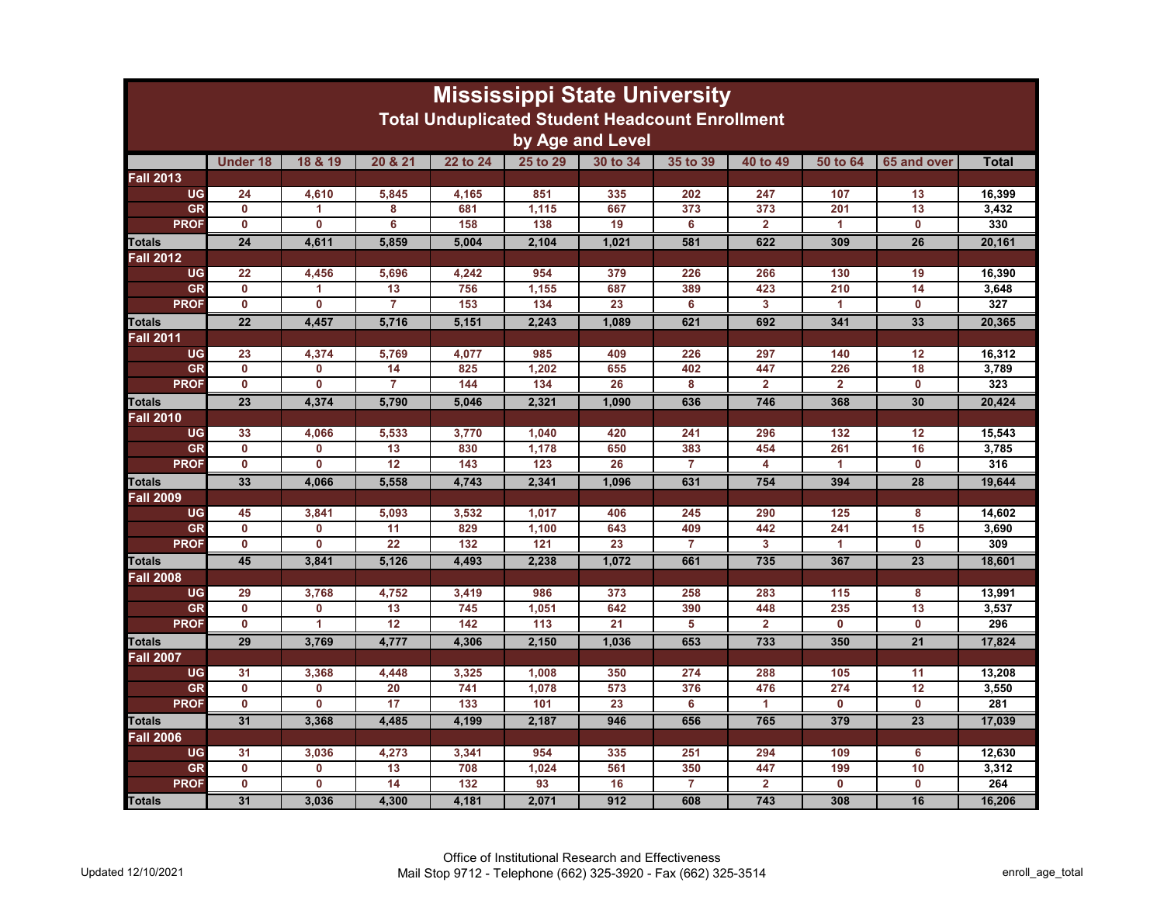| <b>Mississippi State University</b><br><b>Total Unduplicated Student Headcount Enrollment</b> |                         |                         |                 |          |          |                 |                |                |                         |                         |              |
|-----------------------------------------------------------------------------------------------|-------------------------|-------------------------|-----------------|----------|----------|-----------------|----------------|----------------|-------------------------|-------------------------|--------------|
| by Age and Level                                                                              |                         |                         |                 |          |          |                 |                |                |                         |                         |              |
|                                                                                               | <b>Under 18</b>         | 18 & 19                 | 20 & 21         | 22 to 24 | 25 to 29 | 30 to 34        | 35 to 39       | 40 to 49       | 50 to 64                | 65 and over             | <b>Total</b> |
| <b>Fall 2013</b>                                                                              |                         |                         |                 |          |          |                 |                |                |                         |                         |              |
| <b>UG</b>                                                                                     | 24                      | 4,610                   | 5,845           | 4,165    | 851      | 335             | 202            | 247            | 107                     | 13                      | 16,399       |
| GR                                                                                            | $\mathbf 0$             | 1                       | 8               | 681      | 1,115    | 667             | 373            | 373            | 201                     | 13                      | 3,432        |
| <b>PROF</b>                                                                                   | $\overline{\mathbf{0}}$ | $\mathbf{0}$            | 6               | 158      | 138      | 19              | 6              | $\overline{2}$ | 1                       | $\mathbf{0}$            | 330          |
| <b>Totals</b>                                                                                 | $\overline{24}$         | 4.611                   | 5.859           | 5.004    | 2,104    | 1,021           | 581            | 622            | 309                     | 26                      | 20,161       |
| <b>Fall 2012</b>                                                                              |                         |                         |                 |          |          |                 |                |                |                         |                         |              |
| <b>UG</b>                                                                                     | 22                      | 4,456                   | 5,696           | 4,242    | 954      | 379             | 226            | 266            | 130                     | 19                      | 16,390       |
| GR                                                                                            | $\mathbf 0$             | 1                       | 13              | 756      | 1,155    | 687             | 389            | 423            | 210                     | 14                      | 3,648        |
| <b>PROF</b>                                                                                   | $\mathbf 0$             | $\mathbf 0$             | 7               | 153      | 134      | 23              | 6              | 3              | -1                      | $\mathbf 0$             | 327          |
| <b>Totals</b>                                                                                 | $\overline{22}$         | 4.457                   | 5.716           | 5.151    | 2.243    | 1.089           | 621            | 692            | 341                     | 33                      | 20.365       |
| <b>Fall 2011</b>                                                                              |                         |                         |                 |          |          |                 |                |                |                         |                         |              |
| UG                                                                                            | 23                      | 4,374                   | 5.769           | 4.077    | 985      | 409             | 226            | 297            | 140                     | 12                      | 16.312       |
| GR                                                                                            | $\mathbf{0}$            | $\mathbf{0}$            | 14              | 825      | 1,202    | 655             | 402            | 447            | 226                     | 18                      | 3,789        |
| <b>PROF</b>                                                                                   | $\mathbf 0$             | 0                       | 7               | 144      | 134      | 26              | 8              | $\overline{2}$ | $\overline{2}$          | $\mathbf 0$             | 323          |
| <b>Totals</b>                                                                                 | $\overline{23}$         | 4,374                   | 5,790           | 5,046    | 2,321    | 1,090           | 636            | 746            | 368                     | 30                      | 20,424       |
| <b>Fall 2010</b>                                                                              |                         |                         |                 |          |          |                 |                |                |                         |                         |              |
| <b>UG</b>                                                                                     | 33                      | 4,066                   | 5,533           | 3,770    | 1,040    | 420             | 241            | 296            | 132                     | 12                      | 15,543       |
| <b>GR</b>                                                                                     | $\mathbf{0}$            | 0                       | 13              | 830      | 1,178    | 650             | 383            | 454            | 261                     | 16                      | 3,785        |
| <b>PROF</b>                                                                                   | $\overline{\mathbf{0}}$ | $\overline{\mathbf{0}}$ | 12              | 143      | 123      | 26              | $\overline{7}$ | 4              | 1                       | 0                       | 316          |
| <b>Totals</b>                                                                                 | 33                      | 4.066                   | 5.558           | 4.743    | 2.341    | 1.096           | 631            | 754            | 394                     | 28                      | 19.644       |
| <b>Fall 2009</b>                                                                              |                         |                         |                 |          |          |                 |                |                |                         |                         |              |
| <b>UG</b>                                                                                     | 45                      | 3,841                   | 5,093           | 3,532    | 1,017    | 406             | 245            | 290            | 125                     | 8                       | 14,602       |
| <b>GR</b>                                                                                     | $\mathbf{0}$            | $\mathbf 0$             | 11              | 829      | 1,100    | 643             | 409            | 442            | 241                     | 15                      | 3,690        |
| <b>PROF</b>                                                                                   | $\mathbf 0$             | $\mathbf{0}$            | 22              | 132      | 121      | 23              | $\overline{7}$ | 3              | $\blacktriangleleft$    | $\mathbf 0$             | 309          |
| <b>Totals</b>                                                                                 | 45                      | 3,841                   | 5,126           | 4,493    | 2,238    | 1,072           | 661            | 735            | 367                     | 23                      | 18,601       |
| <b>Fall 2008</b>                                                                              |                         |                         |                 |          |          |                 |                |                |                         |                         |              |
| <b>UG</b>                                                                                     | 29                      | 3,768                   | 4,752           | 3,419    | 986      | 373             | 258            | 283            | 115                     | 8                       | 13,991       |
| GR                                                                                            | $\mathbf{0}$            | 0                       | 13              | 745      | 1,051    | 642             | 390            | 448            | 235                     | 13                      | 3.537        |
| <b>PROF</b>                                                                                   | $\overline{\mathbf{0}}$ | $\overline{1}$          | $\overline{12}$ | 142      | 113      | $\overline{21}$ | 5              | $\overline{2}$ | $\overline{\mathbf{0}}$ | $\overline{\mathbf{0}}$ | 296          |
| <b>Totals</b>                                                                                 | 29                      | 3,769                   | 4,777           | 4,306    | 2,150    | 1,036           | 653            | 733            | 350                     | $\overline{21}$         | 17,824       |
| <b>Fall 2007</b>                                                                              |                         |                         |                 |          |          |                 |                |                |                         |                         |              |
| <b>UG</b>                                                                                     | 31                      | 3,368                   | 4,448           | 3,325    | 1,008    | 350             | 274            | 288            | 105                     | 11                      | 13,208       |
| <b>GR</b>                                                                                     | $\mathbf 0$             | 0                       | 20              | 741      | 1,078    | 573             | 376            | 476            | 274                     | 12                      | 3,550        |
| <b>PROF</b>                                                                                   | $\mathbf 0$             | 0                       | 17              | 133      | 101      | 23              | 6              | 1              | $\mathbf 0$             | $\mathbf 0$             | 281          |
| <b>Totals</b>                                                                                 | 31                      | 3.368                   | 4.485           | 4,199    | 2,187    | 946             | 656            | 765            | 379                     | $\overline{23}$         | 17,039       |
| <b>Fall 2006</b>                                                                              |                         |                         |                 |          |          |                 |                |                |                         |                         |              |
| <b>UG</b>                                                                                     | 31                      | 3,036                   | 4,273           | 3,341    | 954      | 335             | 251            | 294            | 109                     | 6                       | 12,630       |
| <b>GR</b>                                                                                     | $\mathbf{0}$            | 0                       | 13              | 708      | 1,024    | 561             | 350            | 447            | 199                     | 10                      | 3,312        |
| <b>PROF</b>                                                                                   | $\mathbf 0$             | 0                       | 14              | 132      | 93       | 16              | 7              | $\overline{2}$ | $\mathbf 0$             | $\mathbf 0$             | 264          |
| <b>Totals</b>                                                                                 | 31                      | 3,036                   | 4,300           | 4,181    | 2,071    | 912             | 608            | 743            | 308                     | 16                      | 16,206       |